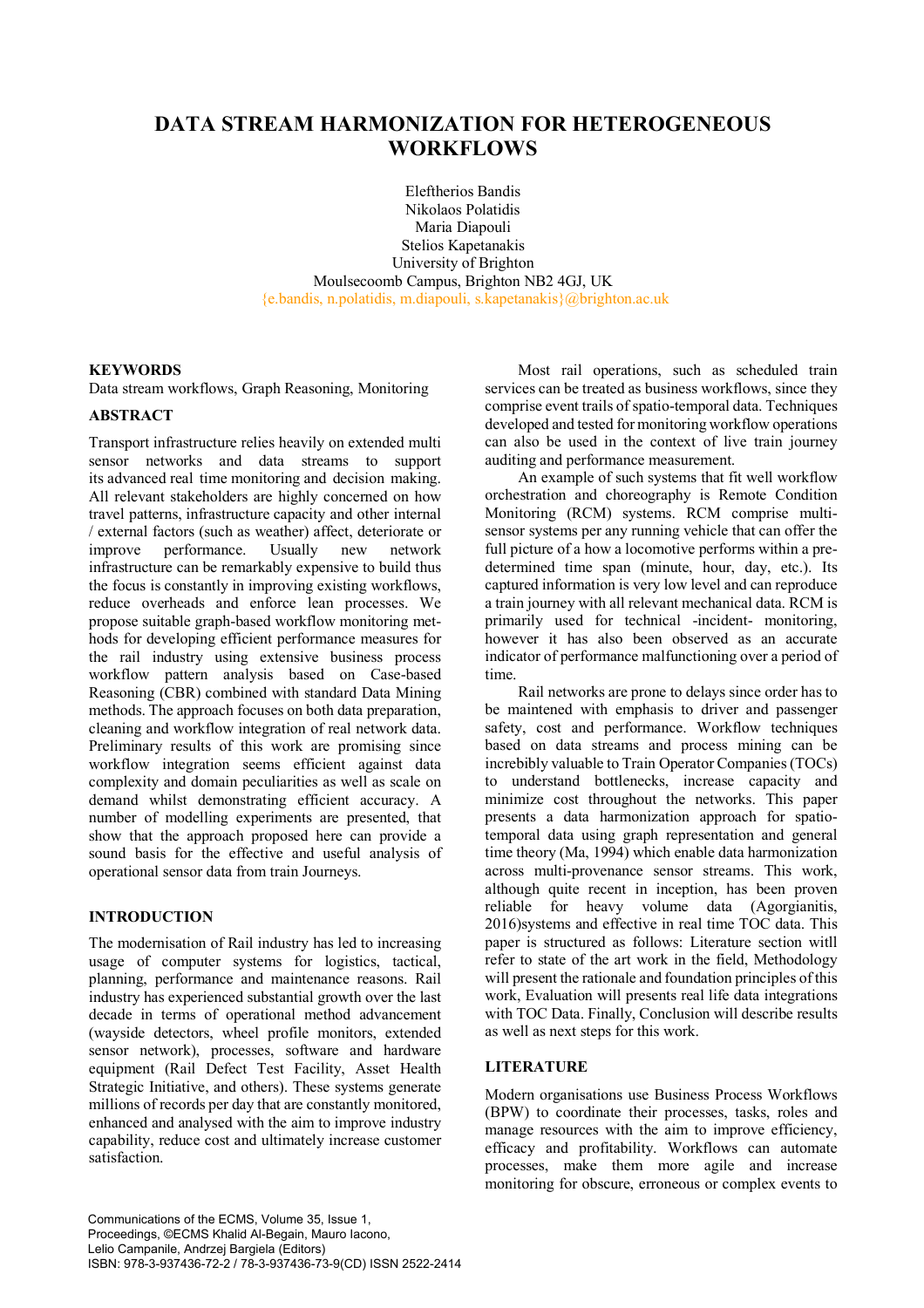# **DATA STREAM HARMONIZATION FOR HETEROGENEOUS WORKFLOWS**

Eleftherios Bandis Nikolaos Polatidis Maria Diapouli Stelios Kapetanakis University of Brighton Moulsecoomb Campus, Brighton NB2 4GJ, UK  ${e.}$ bandis, n.polatidis, m.diapouli, s.kapetanakis $\{a\}$ brighton.ac.uk

### **KEYWORDS**

Data stream workflows, Graph Reasoning, Monitoring

### **ABSTRACT**

Transport infrastructure relies heavily on extended multi sensor networks and data streams to support its advanced real time monitoring and decision making. All relevant stakeholders are highly concerned on how travel patterns, infrastructure capacity and other internal / external factors (such as weather) affect, deteriorate or improve performance. Usually new network infrastructure can be remarkably expensive to build thus the focus is constantly in improving existing workflows, reduce overheads and enforce lean processes. We propose suitable graph-based workflow monitoring methods for developing efficient performance measures for the rail industry using extensive business process workflow pattern analysis based on Case-based Reasoning (CBR) combined with standard Data Mining methods. The approach focuses on both data preparation. cleaning and workflow integration of real network data. Preliminary results of this work are promising since workflow integration seems efficient against data complexity and domain peculiarities as well as scale on demand whilst demonstrating efficient accuracy. A number of modelling experiments are presented, that show that the approach proposed here can provide a sound basis for the effective and useful analysis of operational sensor data from train Journeys.

## **INTRODUCTION**

The modernisation of Rail industry has led to increasing usage of computer systems for logistics, tactical, planning, performance and maintenance reasons. Rail industry has experienced substantial growth over the last decade in terms of operational method advancement (wayside detectors, wheel profile monitors, extended sensor network), processes, software and hardware equipment (Rail Defect Test Facility, Asset Health Strategic Initiative, and others). These systems generate millions of records per day that are constantly monitored, enhanced and analysed with the aim to improve industry capability, reduce cost and ultimately increase customer satisfaction.

Most rail operations, such as scheduled train services can be treated as business workflows, since they comprise event trails of spatio-temporal data. Techniques developed and tested for monitoring workflow operations can also be used in the context of live train journey auditing and performance measurement.

An example of such systems that fit well workflow orchestration and choreography is Remote Condition Monitoring (RCM) systems. RCM comprise multisensor systems per any running vehicle that can offer the full picture of a how a locomotive performs within a predetermined time span (minute, hour, day, etc.). Its captured information is very low level and can reproduce a train journey with all relevant mechanical data. RCM is primarily used for technical -incident- monitoring, however it has also been observed as an accurate indicator of performance malfunctioning over a period of time.

Rail networks are prone to delays since order has to be maintened with emphasis to driver and passenger safety, cost and performance. Workflow techniques based on data streams and process mining can be increbibly valuable to Train Operator Companies (TOCs) to understand bottlenecks, increase capacity and minimize cost throughout the networks. This paper presents a data harmonization approach for spatiotemporal data using graph representation and general time theory (Ma, 1994) which enable data harmonization across multi-provenance sensor streams. This work, although quite recent in inception, has been proven reliable for heavy volume data (Agorgianitis, 2016)systems and effective in real time TOC data. This paper is structured as follows: Literature section witll refer to state of the art work in the field, Methodology will present the rationale and foundation principles of this work, Evaluation will presents real life data integrations with TOC Data. Finally, Conclusion will describe results as well as next steps for this work.

#### **LITERATURE**

Modern organisations use Business Process Workflows (BPW) to coordinate their processes, tasks, roles and manage resources with the aim to improve efficiency, efficacy and profitability. Workflows can automate processes, make them more agile and increase monitoring for obscure, erroneous or complex events to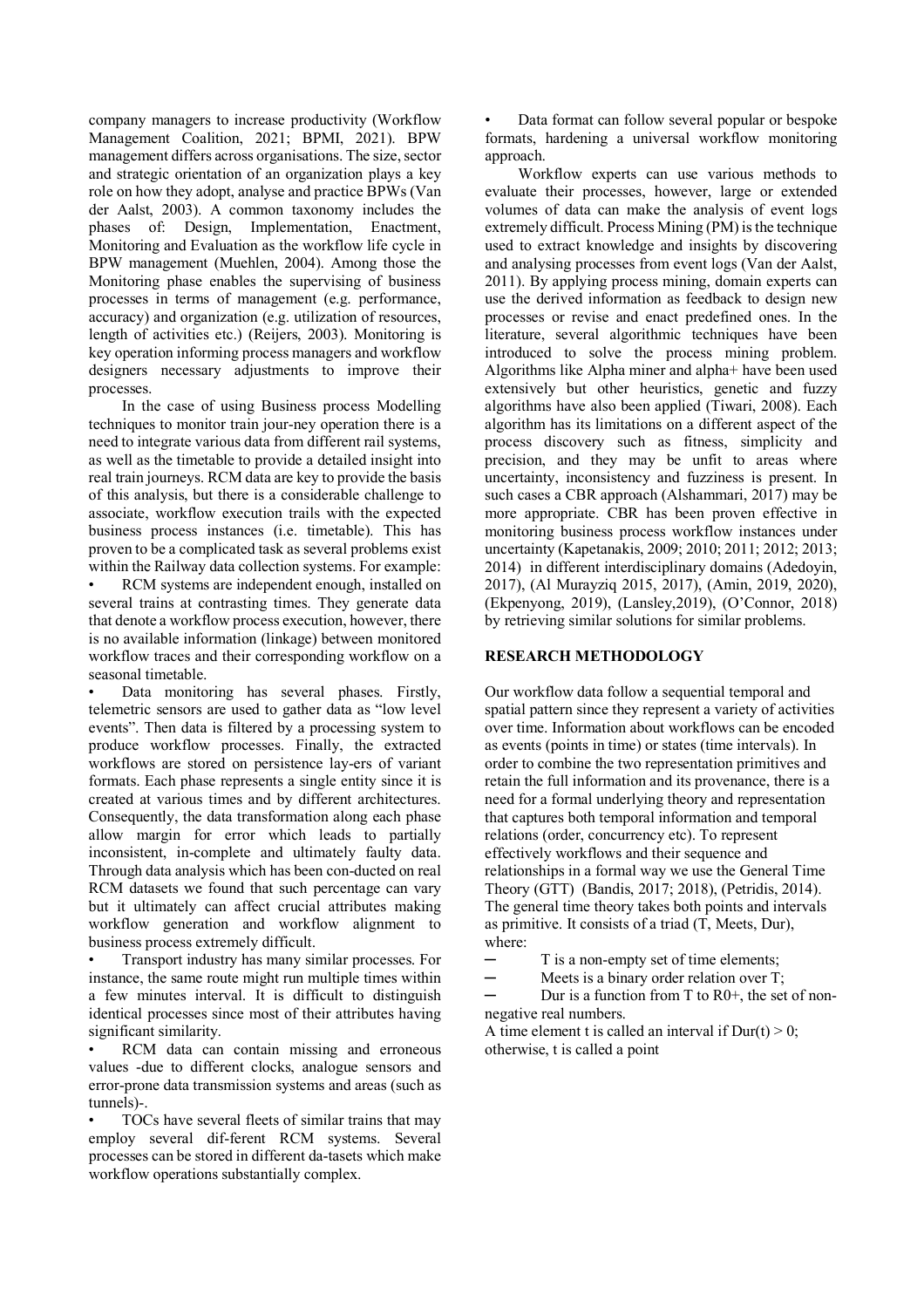company managers to increase productivity (Workflow Management Coalition, 2021; BPMI, 2021). BPW management differs across organisations. The size, sector and strategic orientation of an organization plays a key role on how they adopt, analyse and practice BPWs (Van der Aalst, 2003). A common taxonomy includes the phases of: Design, Implementation, Enactment, Monitoring and Evaluation as the workflow life cycle in BPW management (Muehlen, 2004). Among those the Monitoring phase enables the supervising of business processes in terms of management (e.g. performance, accuracy) and organization (e.g. utilization of resources, length of activities etc.) (Reijers, 2003). Monitoring is key operation informing process managers and workflow designers necessary adjustments to improve their processes.

In the case of using Business process Modelling techniques to monitor train jour-ney operation there is a need to integrate various data from different rail systems, as well as the timetable to provide a detailed insight into real train journeys. RCM data are key to provide the basis of this analysis, but there is a considerable challenge to associate, workflow execution trails with the expected business process instances (i.e. timetable). This has proven to be a complicated task as several problems exist within the Railway data collection systems. For example:

RCM systems are independent enough, installed on several trains at contrasting times. They generate data that denote a workflow process execution, however, there is no available information (linkage) between monitored workflow traces and their corresponding workflow on a seasonal timetable.

Data monitoring has several phases. Firstly, telemetric sensors are used to gather data as "low level events". Then data is filtered by a processing system to produce workflow processes. Finally, the extracted workflows are stored on persistence lay-ers of variant formats. Each phase represents a single entity since it is created at various times and by different architectures. Consequently, the data transformation along each phase allow margin for error which leads to partially inconsistent, in-complete and ultimately faulty data. Through data analysis which has been con-ducted on real RCM datasets we found that such percentage can vary but it ultimately can affect crucial attributes making workflow generation and workflow alignment to business process extremely difficult.

• Transport industry has many similar processes. For instance, the same route might run multiple times within a few minutes interval. It is difficult to distinguish identical processes since most of their attributes having significant similarity.

RCM data can contain missing and erroneous values -due to different clocks, analogue sensors and error-prone data transmission systems and areas (such as tunnels)-.

• TOCs have several fleets of similar trains that may employ several dif-ferent RCM systems. Several processes can be stored in different da-tasets which make workflow operations substantially complex.

• Data format can follow several popular or bespoke formats, hardening a universal workflow monitoring approach.

Workflow experts can use various methods to evaluate their processes, however, large or extended volumes of data can make the analysis of event logs extremely difficult. Process Mining (PM) is the technique used to extract knowledge and insights by discovering and analysing processes from event logs (Van der Aalst, 2011). By applying process mining, domain experts can use the derived information as feedback to design new processes or revise and enact predefined ones. In the literature, several algorithmic techniques have been introduced to solve the process mining problem. Algorithms like Alpha miner and alpha+ have been used extensively but other heuristics, genetic and fuzzy algorithms have also been applied (Tiwari, 2008). Each algorithm has its limitations on a different aspect of the process discovery such as fitness, simplicity and precision, and they may be unfit to areas where uncertainty, inconsistency and fuzziness is present. In such cases a CBR approach (Alshammari, 2017) may be more appropriate. CBR has been proven effective in monitoring business process workflow instances under uncertainty (Kapetanakis, 2009; 2010; 2011; 2012; 2013; 2014) in different interdisciplinary domains (Adedoyin, 2017), (Al Murayziq 2015, 2017), (Amin, 2019, 2020), (Ekpenyong, 2019), (Lansley,2019), (O'Connor, 2018) by retrieving similar solutions for similar problems.

### **RESEARCH METHODOLOGY**

Our workflow data follow a sequential temporal and spatial pattern since they represent a variety of activities over time. Information about workflows can be encoded as events (points in time) or states (time intervals). In order to combine the two representation primitives and retain the full information and its provenance, there is a need for a formal underlying theory and representation that captures both temporal information and temporal relations (order, concurrency etc). To represent effectively workflows and their sequence and relationships in a formal way we use the General Time Theory (GTT) (Bandis, 2017; 2018), (Petridis, 2014). The general time theory takes both points and intervals as primitive. It consists of a triad (T, Meets, Dur), where:

- T is a non-empty set of time elements;
- $-$  Meets is a binary order relation over T;

Dur is a function from  $T$  to  $R0+$ , the set of nonnegative real numbers.

A time element t is called an interval if  $Dur(t) > 0$ ; otherwise, t is called a point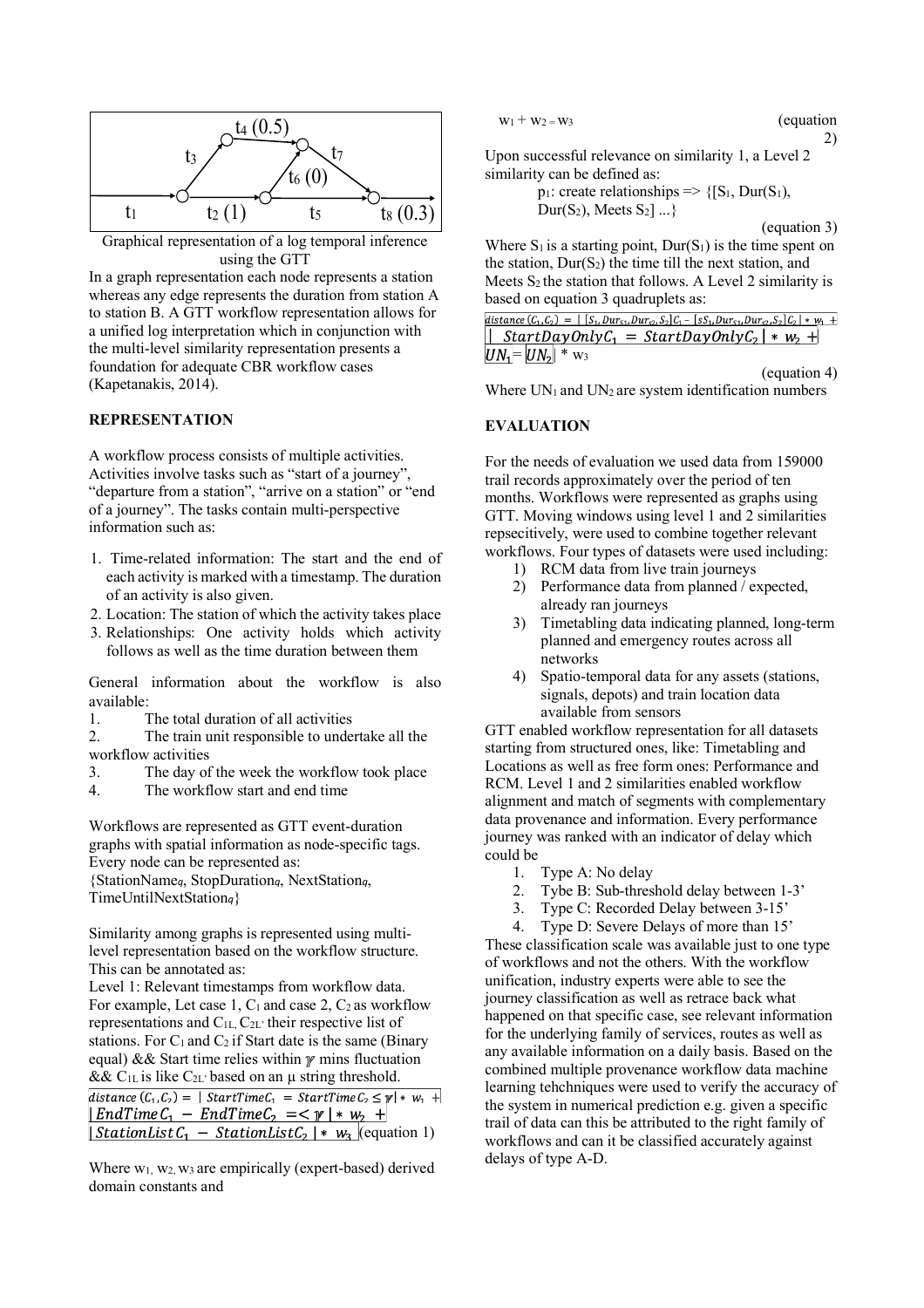

Graphical representation of a log temporal inference using the GTT

In a graph representation each node represents a station whereas any edge represents the duration from station A to station B. A GTT workflow representation allows for a unified log interpretation which in conjunction with the multi-level similarity representation presents a foundation for adequate CBR workflow cases (Kapetanakis, 2014).

#### **REPRESENTATION**

A workflow process consists of multiple activities. Activities involve tasks such as "start of a journey", "departure from a station", "arrive on a station" or "end of a journey". The tasks contain multi-perspective information such as:

- 1. Time-related information: The start and the end of each activity is marked with a timestamp. The duration of an activity is also given.
- 2. Location: The station of which the activity takes place
- 3. Relationships: One activity holds which activity follows as well as the time duration between them

General information about the workflow is also available:

1. The total duration of all activities

2. The train unit responsible to undertake all the workflow activities

- 3. The day of the week the workflow took place
- 4. The workflow start and end time

Workflows are represented as GTT event-duration graphs with spatial information as node-specific tags. Every node can be represented as:

{StationName*q*, StopDuration*q*, NextStation*q*, TimeUntilNextStation*q*}

Similarity among graphs is represented using multilevel representation based on the workflow structure. This can be annotated as:

Level 1: Relevant timestamps from workflow data. For example, Let case 1,  $C_1$  and case 2,  $C_2$  as workflow representations and C1L, C2L' their respective list of stations. For  $C_1$  and  $C_2$  if Start date is the same (Binary equal)  $&$  Start time relies within  $\gamma$  mins fluctuation &&  $C_{1L}$  is like  $C_{2L}$  based on an  $\mu$  string threshold. distance  $(C_1, C_2) = |\text{StartTime} C_1 = \text{StartTime} C_2 \leq \gamma | * w_1 +$  $\vert EndTimeC_1 - EndTimeC_2 \vert \vert \leq \gamma \vert \cdot w_2 \vert + \vert$  $\overline{\left( \frac{\text{StationList}C_1 - \text{StationList}C_2 \right) * w_3 (\text{equation 1})}$ 

Where  $w_1$ ,  $w_2$ ,  $w_3$  are empirically (expert-based) derived domain constants and

$$
w_1 + w_2 = w_3 \tag{equation}
$$

$$
\begin{array}{c}\n \text{(equation)}\\
2)\n \end{array}
$$

Upon successful relevance on similarity 1, a Level 2 similarity can be defined as:

> $p_1$ : create relationships => {[S<sub>1</sub>, Dur(S<sub>1</sub>), Dur(S<sub>2</sub>), Meets  $S_2$ ] ...}

> > (equation 3)

Where  $S_1$  is a starting point,  $Dur(S_1)$  is the time spent on the station,  $Dur(S_2)$  the time till the next station, and Meets  $S_2$  the station that follows. A Level 2 similarity is based on equation 3 quadruplets as:

|                                | distance $(C_1, C_2) =   [S_1, Dur_{S1}, Dur_{S2}, S_2]C_1 - [sS_1, Dur_{S1}, Dur_{S2}, S_2]C_2  * w_1 +$ |
|--------------------------------|-----------------------------------------------------------------------------------------------------------|
|                                | StartDayOnlyC <sub>1</sub> = StartDayOnlyC <sub>2</sub>   * $w_2$ +                                       |
| $UN_1 = UN_2$ * w <sub>3</sub> |                                                                                                           |
|                                | (equation 4)                                                                                              |

Where  $UN_1$  and  $UN_2$  are system identification numbers

#### **EVALUATION**

For the needs of evaluation we used data from 159000 trail records approximately over the period of ten months. Workflows were represented as graphs using GTT. Moving windows using level 1 and 2 similarities repsecitively, were used to combine together relevant workflows. Four types of datasets were used including:

- 1) RCM data from live train journeys
- 2) Performance data from planned / expected, already ran journeys
- 3) Timetabling data indicating planned, long-term planned and emergency routes across all networks
- 4) Spatio-temporal data for any assets (stations, signals, depots) and train location data available from sensors

GTT enabled workflow representation for all datasets starting from structured ones, like: Timetabling and Locations as well as free form ones: Performance and RCM. Level 1 and 2 similarities enabled workflow alignment and match of segments with complementary data provenance and information. Every performance journey was ranked with an indicator of delay which could be

- 1. Type A: No delay
- 2. Tybe B: Sub-threshold delay between 1-3'
- 3. Type C: Recorded Delay between 3-15'

4. Type D: Severe Delays of more than 15'

These classification scale was available just to one type of workflows and not the others. With the workflow unification, industry experts were able to see the journey classification as well as retrace back what happened on that specific case, see relevant information for the underlying family of services, routes as well as any available information on a daily basis. Based on the combined multiple provenance workflow data machine learning tehchniques were used to verify the accuracy of the system in numerical prediction e.g. given a specific trail of data can this be attributed to the right family of workflows and can it be classified accurately against delays of type A-D.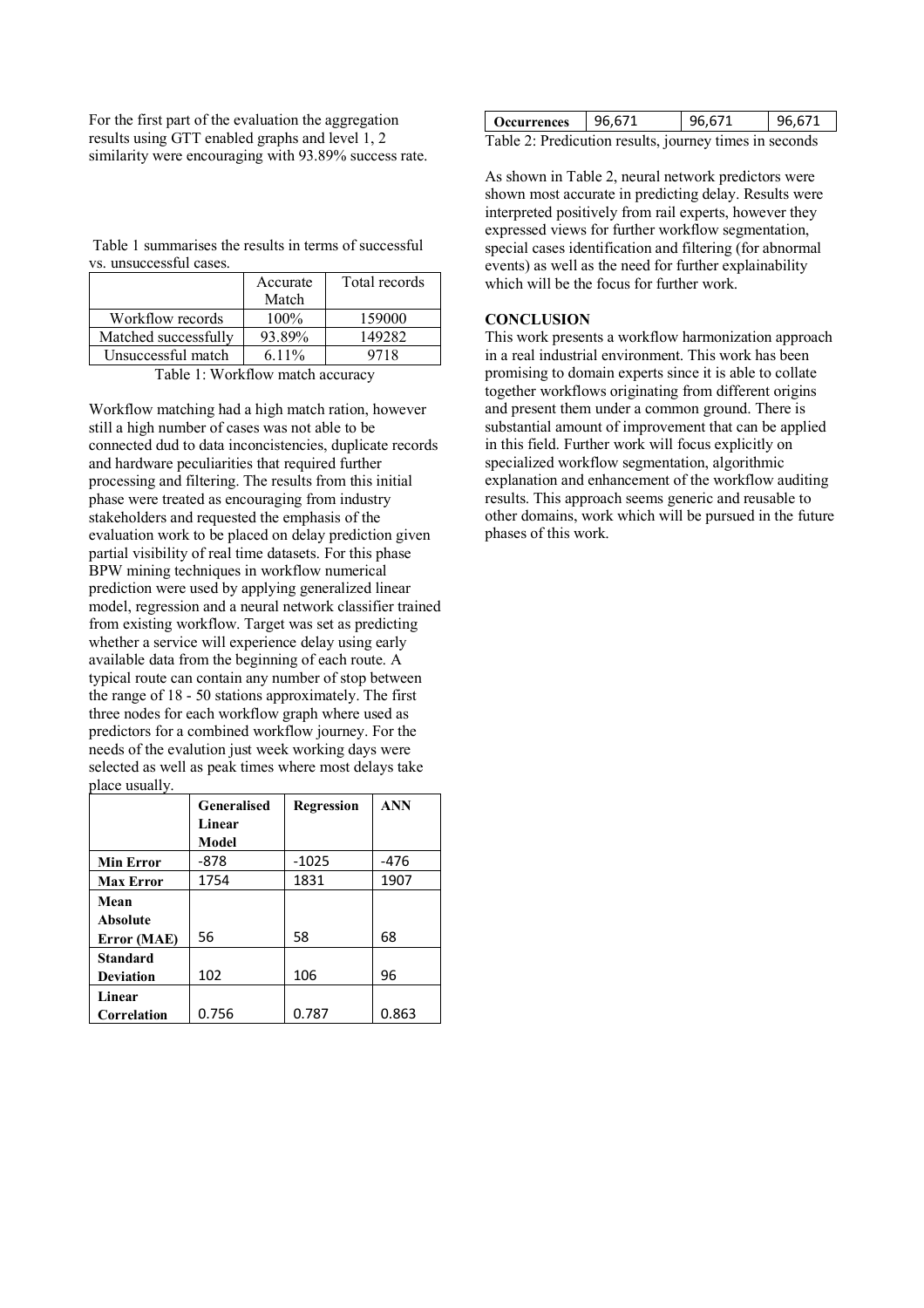For the first part of the evaluation the aggregation results using GTT enabled graphs and level 1, 2 similarity were encouraging with 93.89% success rate.

Table 1 summarises the results in terms of successful vs. unsuccessful cases.

|                      | Accurate | Total records |
|----------------------|----------|---------------|
|                      | Match    |               |
| Workflow records     | $100\%$  | 159000        |
| Matched successfully | 93.89%   | 149282        |
| Unsuccessful match   | $6.11\%$ | 9718          |

Table 1: Workflow match accuracy

Workflow matching had a high match ration, however still a high number of cases was not able to be connected dud to data inconcistencies, duplicate records and hardware peculiarities that required further processing and filtering. The results from this initial phase were treated as encouraging from industry stakeholders and requested the emphasis of the evaluation work to be placed on delay prediction given partial visibility of real time datasets. For this phase BPW mining techniques in workflow numerical prediction were used by applying generalized linear model, regression and a neural network classifier trained from existing workflow. Target was set as predicting whether a service will experience delay using early available data from the beginning of each route. A typical route can contain any number of stop between the range of 18 - 50 stations approximately. The first three nodes for each workflow graph where used as predictors for a combined workflow journey. For the needs of the evalution just week working days were selected as well as peak times where most delays take place usually.

|                  | Generalised | <b>Regression</b> | <b>ANN</b> |
|------------------|-------------|-------------------|------------|
|                  | Linear      |                   |            |
|                  | Model       |                   |            |
| <b>Min Error</b> | -878        | $-1025$           | $-476$     |
| <b>Max Error</b> | 1754        | 1831              | 1907       |
| Mean             |             |                   |            |
| <b>Absolute</b>  |             |                   |            |
| Error (MAE)      | 56          | 58                | 68         |
| <b>Standard</b>  |             |                   |            |
| <b>Deviation</b> | 102         | 106               | 96         |
| Linear           |             |                   |            |
| Correlation      | 0.756       | 0.787             | 0.863      |

| <b>Occurrences</b>                                     | 96,671 | 96,671 | 96.671 |  |  |
|--------------------------------------------------------|--------|--------|--------|--|--|
| Table 2: Predicution results, journey times in seconds |        |        |        |  |  |

As shown in Table 2, neural network predictors were shown most accurate in predicting delay. Results were interpreted positively from rail experts, however they expressed views for further workflow segmentation, special cases identification and filtering (for abnormal events) as well as the need for further explainability which will be the focus for further work.

#### **CONCLUSION**

This work presents a workflow harmonization approach in a real industrial environment. This work has been promising to domain experts since it is able to collate together workflows originating from different origins and present them under a common ground. There is substantial amount of improvement that can be applied in this field. Further work will focus explicitly on specialized workflow segmentation, algorithmic explanation and enhancement of the workflow auditing results. This approach seems generic and reusable to other domains, work which will be pursued in the future phases of this work.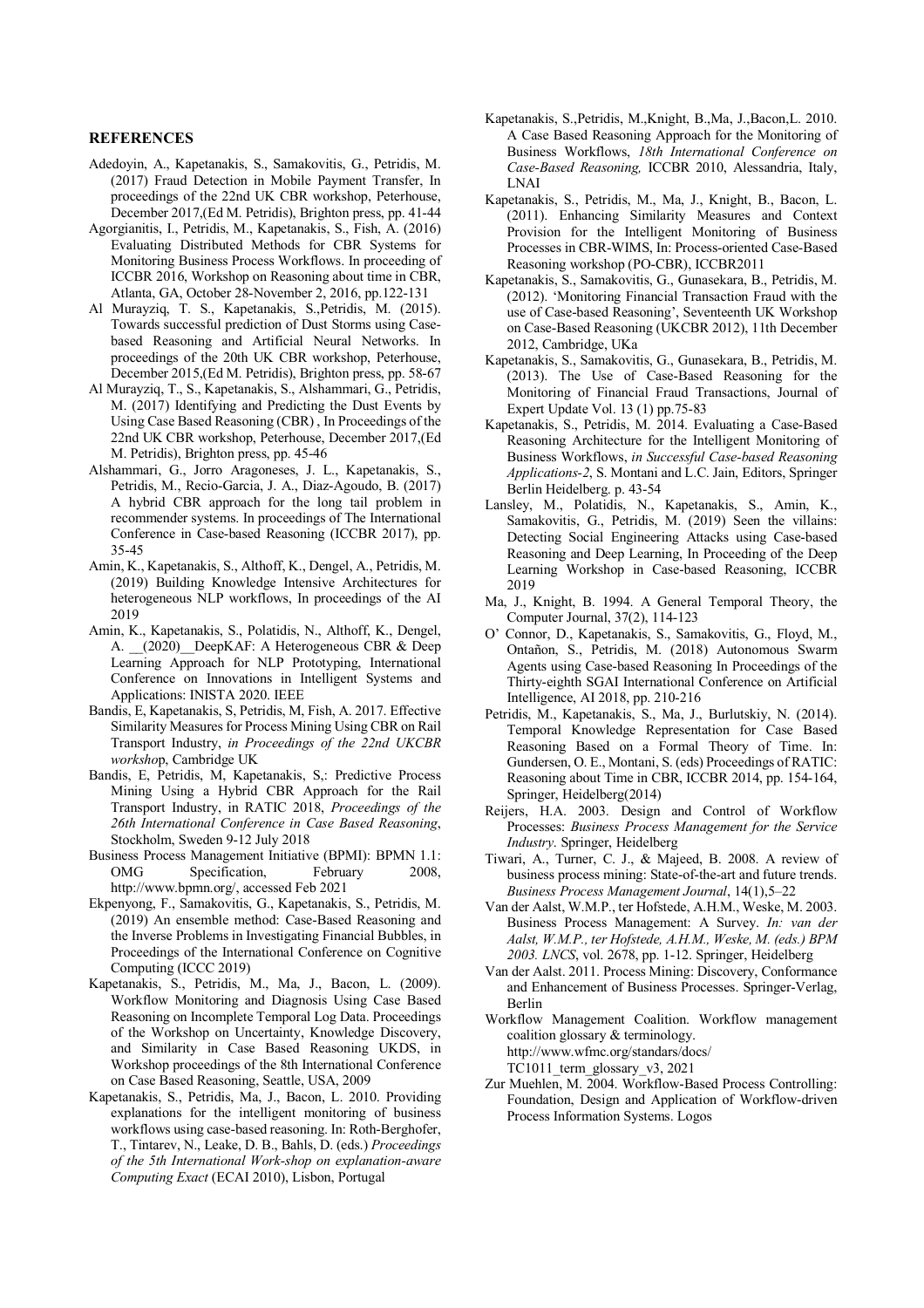#### **REFERENCES**

- Adedoyin, A., Kapetanakis, S., Samakovitis, G., Petridis, M. (2017) Fraud Detection in Mobile Payment Transfer, In proceedings of the 22nd UK CBR workshop, Peterhouse, December 2017,(Ed M. Petridis), Brighton press, pp. 41-44
- Agorgianitis, I., Petridis, M., Kapetanakis, S., Fish, A. (2016) Evaluating Distributed Methods for CBR Systems for Monitoring Business Process Workflows. In proceeding of ICCBR 2016, Workshop on Reasoning about time in CBR, Atlanta, GA, October 28-November 2, 2016, pp.122-131
- Al Murayziq, T. S., Kapetanakis, S.,Petridis, M. (2015). Towards successful prediction of Dust Storms using Casebased Reasoning and Artificial Neural Networks. In proceedings of the 20th UK CBR workshop, Peterhouse, December 2015,(Ed M. Petridis), Brighton press, pp. 58-67
- Al Murayziq, T., S., Kapetanakis, S., Alshammari, G., Petridis, M. (2017) Identifying and Predicting the Dust Events by Using Case Based Reasoning (CBR) , In Proceedings of the 22nd UK CBR workshop, Peterhouse, December 2017,(Ed M. Petridis), Brighton press, pp. 45-46
- Alshammari, G., Jorro Aragoneses, J. L., Kapetanakis, S., Petridis, M., Recio-Garcia, J. A., Diaz-Agoudo, B. (2017) A hybrid CBR approach for the long tail problem in recommender systems. In proceedings of The International Conference in Case-based Reasoning (ICCBR 2017), pp. 35-45
- Amin, K., Kapetanakis, S., Althoff, K., Dengel, A., Petridis, M. (2019) Building Knowledge Intensive Architectures for heterogeneous NLP workflows, In proceedings of the AI 2019
- Amin, K., Kapetanakis, S., Polatidis, N., Althoff, K., Dengel, A.  $(2020)$  DeepKAF: A Heterogeneous CBR & Deep Learning Approach for NLP Prototyping, International Conference on Innovations in Intelligent Systems and Applications: INISTA 2020. IEEE
- Bandis, E, Kapetanakis, S, Petridis, M, Fish, A. 2017. Effective Similarity Measures for Process Mining Using CBR on Rail Transport Industry, *in Proceedings of the 22nd UKCBR worksho*p, Cambridge UK
- Bandis, E, Petridis, M, Kapetanakis, S,: Predictive Process Mining Using a Hybrid CBR Approach for the Rail Transport Industry, in RATIC 2018, *Proceedings of the 26th International Conference in Case Based Reasoning*, Stockholm, Sweden 9-12 July 2018
- Business Process Management Initiative (BPMI): BPMN 1.1: OMG Specification, February 2008, http://www.bpmn.org/, accessed Feb 2021
- Ekpenyong, F., Samakovitis, G., Kapetanakis, S., Petridis, M. (2019) An ensemble method: Case-Based Reasoning and the Inverse Problems in Investigating Financial Bubbles, in Proceedings of the International Conference on Cognitive Computing (ICCC 2019)
- Kapetanakis, S., Petridis, M., Ma, J., Bacon, L. (2009). Workflow Monitoring and Diagnosis Using Case Based Reasoning on Incomplete Temporal Log Data. Proceedings of the Workshop on Uncertainty, Knowledge Discovery, and Similarity in Case Based Reasoning UKDS, in Workshop proceedings of the 8th International Conference on Case Based Reasoning, Seattle, USA, 2009
- Kapetanakis, S., Petridis, Ma, J., Bacon, L. 2010. Providing explanations for the intelligent monitoring of business workflows using case-based reasoning. In: Roth-Berghofer, T., Tintarev, N., Leake, D. B., Bahls, D. (eds.) *Proceedings of the 5th International Work-shop on explanation-aware Computing Exact* (ECAI 2010), Lisbon, Portugal
- Kapetanakis, S.,Petridis, M.,Knight, B.,Ma, J.,Bacon,L. 2010. A Case Based Reasoning Approach for the Monitoring of Business Workflows, *18th International Conference on Case-Based Reasoning,* ICCBR 2010, Alessandria, Italy, LNAI
- Kapetanakis, S., Petridis, M., Ma, J., Knight, B., Bacon, L. (2011). Enhancing Similarity Measures and Context Provision for the Intelligent Monitoring of Business Processes in CBR-WIMS, In: Process-oriented Case-Based Reasoning workshop (PO-CBR), ICCBR2011
- Kapetanakis, S., Samakovitis, G., Gunasekara, B., Petridis, M. (2012). 'Monitoring Financial Transaction Fraud with the use of Case-based Reasoning', Seventeenth UK Workshop on Case-Based Reasoning (UKCBR 2012), 11th December 2012, Cambridge, UKa
- Kapetanakis, S., Samakovitis, G., Gunasekara, B., Petridis, M. (2013). The Use of Case-Based Reasoning for the Monitoring of Financial Fraud Transactions, Journal of Expert Update Vol. 13 (1) pp.75-83
- Kapetanakis, S., Petridis, M. 2014. Evaluating a Case-Based Reasoning Architecture for the Intelligent Monitoring of Business Workflows, *in Successful Case-based Reasoning Applications-2*, S. Montani and L.C. Jain, Editors, Springer Berlin Heidelberg. p. 43-54
- Lansley, M., Polatidis, N., Kapetanakis, S., Amin, K., Samakovitis, G., Petridis, M. (2019) Seen the villains: Detecting Social Engineering Attacks using Case-based Reasoning and Deep Learning, In Proceeding of the Deep Learning Workshop in Case-based Reasoning, ICCBR 2019
- Ma, J., Knight, B. 1994. A General Temporal Theory, the Computer Journal, 37(2), 114-123
- O' Connor, D., Kapetanakis, S., Samakovitis, G., Floyd, M., Ontañon, S., Petridis, M. (2018) Autonomous Swarm Agents using Case-based Reasoning In Proceedings of the Thirty-eighth SGAI International Conference on Artificial Intelligence, AI 2018, pp. 210-216
- Petridis, M., Kapetanakis, S., Ma, J., Burlutskiy, N. (2014). Temporal Knowledge Representation for Case Based Reasoning Based on a Formal Theory of Time. In: Gundersen, O. E., Montani, S. (eds) Proceedings of RATIC: Reasoning about Time in CBR, ICCBR 2014, pp. 154-164, Springer, Heidelberg(2014)
- Reijers, H.A. 2003. Design and Control of Workflow Processes: *Business Process Management for the Service Industry*. Springer, Heidelberg
- Tiwari, A., Turner, C. J., & Majeed, B. 2008. A review of business process mining: State-of-the-art and future trends. *Business Process Management Journal*, 14(1),5–22
- Van der Aalst, W.M.P., ter Hofstede, A.H.M., Weske, M. 2003. Business Process Management: A Survey. *In: van der Aalst, W.M.P., ter Hofstede, A.H.M., Weske, M. (eds.) BPM 2003. LNCS*, vol. 2678, pp. 1-12. Springer, Heidelberg
- Van der Aalst. 2011. Process Mining: Discovery, Conformance and Enhancement of Business Processes. Springer-Verlag, Berlin

Workflow Management Coalition. Workflow management coalition glossary & terminology. http://www.wfmc.org/standars/docs/ TC1011 term glossary  $v3, 2021$ 

Zur Muehlen, M. 2004. Workflow-Based Process Controlling: Foundation, Design and Application of Workflow-driven Process Information Systems. Logos